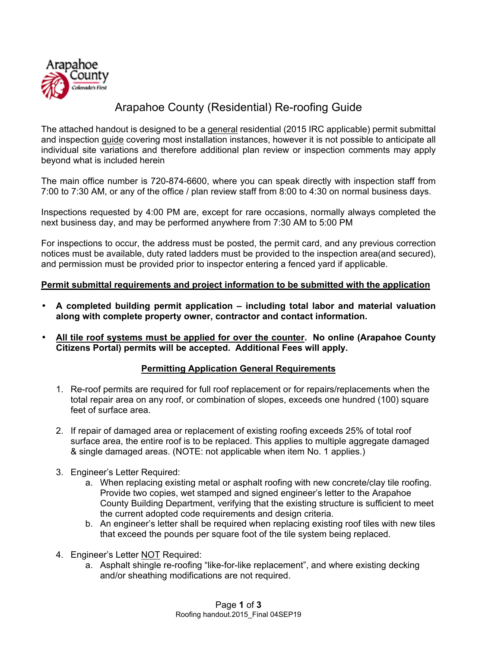

## Arapahoe County (Residential) Re-roofing Guide

The attached handout is designed to be a general residential (2015 IRC applicable) permit submittal and inspection guide covering most installation instances, however it is not possible to anticipate all individual site variations and therefore additional plan review or inspection comments may apply beyond what is included herein

The main office number is 720-874-6600, where you can speak directly with inspection staff from 7:00 to 7:30 AM, or any of the office / plan review staff from 8:00 to 4:30 on normal business days.

Inspections requested by 4:00 PM are, except for rare occasions, normally always completed the next business day, and may be performed anywhere from 7:30 AM to 5:00 PM

For inspections to occur, the address must be posted, the permit card, and any previous correction notices must be available, duty rated ladders must be provided to the inspection area(and secured), and permission must be provided prior to inspector entering a fenced yard if applicable.

## **Permit submittal requirements and project information to be submitted with the application**

- **A completed building permit application including total labor and material valuation along with complete property owner, contractor and contact information.**
- **All tile roof systems must be applied for over the counter. No online (Arapahoe County Citizens Portal) permits will be accepted. Additional Fees will apply.**

## **Permitting Application General Requirements**

- 1. Re-roof permits are required for full roof replacement or for repairs/replacements when the total repair area on any roof, or combination of slopes, exceeds one hundred (100) square feet of surface area.
- 2. If repair of damaged area or replacement of existing roofing exceeds 25% of total roof surface area, the entire roof is to be replaced. This applies to multiple aggregate damaged & single damaged areas. (NOTE: not applicable when item No. 1 applies.)
- 3. Engineer's Letter Required:
	- a. When replacing existing metal or asphalt roofing with new concrete/clay tile roofing. Provide two copies, wet stamped and signed engineer's letter to the Arapahoe County Building Department, verifying that the existing structure is sufficient to meet the current adopted code requirements and design criteria.
	- b. An engineer's letter shall be required when replacing existing roof tiles with new tiles that exceed the pounds per square foot of the tile system being replaced.
- 4. Engineer's Letter NOT Required:
	- a. Asphalt shingle re-roofing "like-for-like replacement", and where existing decking and/or sheathing modifications are not required.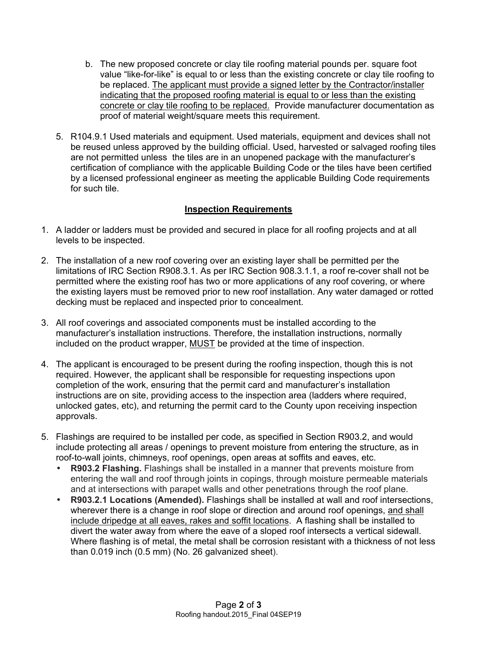- b. The new proposed concrete or clay tile roofing material pounds per. square foot value "like-for-like" is equal to or less than the existing concrete or clay tile roofing to be replaced. The applicant must provide a signed letter by the Contractor/installer indicating that the proposed roofing material is equal to or less than the existing concrete or clay tile roofing to be replaced. Provide manufacturer documentation as proof of material weight/square meets this requirement.
- 5. R104.9.1 Used materials and equipment. Used materials, equipment and devices shall not be reused unless approved by the building official. Used, harvested or salvaged roofing tiles are not permitted unless the tiles are in an unopened package with the manufacturer's certification of compliance with the applicable Building Code or the tiles have been certified by a licensed professional engineer as meeting the applicable Building Code requirements for such tile.

## **Inspection Requirements**

- 1. A ladder or ladders must be provided and secured in place for all roofing projects and at all levels to be inspected.
- 2. The installation of a new roof covering over an existing layer shall be permitted per the limitations of IRC Section R908.3.1. As per IRC Section 908.3.1.1, a roof re-cover shall not be permitted where the existing roof has two or more applications of any roof covering, or where the existing layers must be removed prior to new roof installation. Any water damaged or rotted decking must be replaced and inspected prior to concealment.
- 3. All roof coverings and associated components must be installed according to the manufacturer's installation instructions. Therefore, the installation instructions, normally included on the product wrapper, MUST be provided at the time of inspection.
- 4. The applicant is encouraged to be present during the roofing inspection, though this is not required. However, the applicant shall be responsible for requesting inspections upon completion of the work, ensuring that the permit card and manufacturer's installation instructions are on site, providing access to the inspection area (ladders where required, unlocked gates, etc), and returning the permit card to the County upon receiving inspection approvals.
- 5. Flashings are required to be installed per code, as specified in Section R903.2, and would include protecting all areas / openings to prevent moisture from entering the structure, as in roof-to-wall joints, chimneys, roof openings, open areas at soffits and eaves, etc.
	- **R903.2 Flashing.** Flashings shall be installed in a manner that prevents moisture from entering the wall and roof through joints in copings, through moisture permeable materials and at intersections with parapet walls and other penetrations through the roof plane.
	- **R903.2.1 Locations (Amended).** Flashings shall be installed at wall and roof intersections, wherever there is a change in roof slope or direction and around roof openings, and shall include dripedge at all eaves, rakes and soffit locations. A flashing shall be installed to divert the water away from where the eave of a sloped roof intersects a vertical sidewall. Where flashing is of metal, the metal shall be corrosion resistant with a thickness of not less than 0.019 inch (0.5 mm) (No. 26 galvanized sheet).